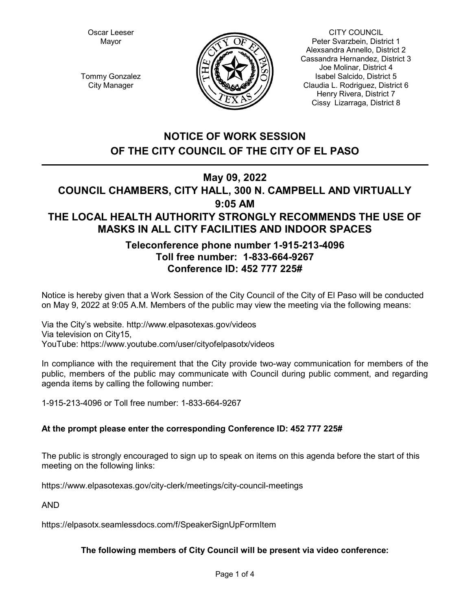Oscar Leeser Mayor



CITY COUNCIL Peter Svarzbein, District 1 Alexsandra Annello, District 2 Cassandra Hernandez, District 3 Joe Molinar, District 4 Isabel Salcido, District 5 Claudia L. Rodriguez, District 6 Henry Rivera, District 7 Cissy Lizarraga, District 8

Tommy Gonzalez City Manager

# **NOTICE OF WORK SESSION OF THE CITY COUNCIL OF THE CITY OF EL PASO**

## **May 09, 2022**

## **COUNCIL CHAMBERS, CITY HALL, 300 N. CAMPBELL AND VIRTUALLY 9:05 AM THE LOCAL HEALTH AUTHORITY STRONGLY RECOMMENDS THE USE OF MASKS IN ALL CITY FACILITIES AND INDOOR SPACES**

## **Teleconference phone number 1-915-213-4096 Toll free number: 1-833-664-9267 Conference ID: 452 777 225#**

Notice is hereby given that a Work Session of the City Council of the City of El Paso will be conducted on May 9, 2022 at 9:05 A.M. Members of the public may view the meeting via the following means:

Via the City's website. http://www.elpasotexas.gov/videos Via television on City15, YouTube: https://www.youtube.com/user/cityofelpasotx/videos

In compliance with the requirement that the City provide two-way communication for members of the public, members of the public may communicate with Council during public comment, and regarding agenda items by calling the following number:

1-915-213-4096 or Toll free number: 1-833-664-9267

## **At the prompt please enter the corresponding Conference ID: 452 777 225#**

The public is strongly encouraged to sign up to speak on items on this agenda before the start of this meeting on the following links:

https://www.elpasotexas.gov/city-clerk/meetings/city-council-meetings

AND

https://elpasotx.seamlessdocs.com/f/SpeakerSignUpFormItem

## **The following members of City Council will be present via video conference:**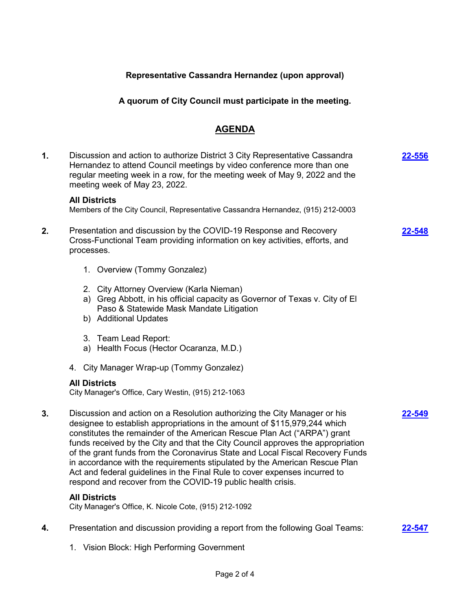#### **Representative Cassandra Hernandez (upon approval)**

#### **A quorum of City Council must participate in the meeting.**

### **AGENDA**

- **1.** Discussion and action to authorize District 3 City Representative Cassandra Hernandez to attend Council meetings by video conference more than one regular meeting week in a row, for the meeting week of May 9, 2022 and the meeting week of May 23, 2022. **[22-556](http://elpasotexas.legistar.com/gateway.aspx?m=l&id=/matter.aspx?key=7020) All Districts** Members of the City Council, Representative Cassandra Hernandez, (915) 212-0003 **2.** Presentation and discussion by the COVID-19 Response and Recovery Cross-Functional Team providing information on key activities, efforts, and processes. 1. Overview (Tommy Gonzalez) 2. City Attorney Overview (Karla Nieman) a) Greg Abbott, in his official capacity as Governor of Texas v. City of El Paso & Statewide Mask Mandate Litigation b) Additional Updates 3. Team Lead Report: a) Health Focus (Hector Ocaranza, M.D.) 4. City Manager Wrap-up (Tommy Gonzalez) **[22-548](http://elpasotexas.legistar.com/gateway.aspx?m=l&id=/matter.aspx?key=7012) All Districts** City Manager's Office, Cary Westin, (915) 212-1063 **3.** Discussion and action on a Resolution authorizing the City Manager or his designee to establish appropriations in the amount of \$115,979,244 which constitutes the remainder of the American Rescue Plan Act ("ARPA") grant funds received by the City and that the City Council approves the appropriation of the grant funds from the Coronavirus State and Local Fiscal Recovery Funds in accordance with the requirements stipulated by the American Rescue Plan Act and federal guidelines in the Final Rule to cover expenses incurred to respond and recover from the COVID-19 public health crisis. **[22-549](http://elpasotexas.legistar.com/gateway.aspx?m=l&id=/matter.aspx?key=7013) All Districts** City Manager's Office, K. Nicole Cote, (915) 212-1092 **4.** Presentation and discussion providing a report from the following Goal Teams: **[22-547](http://elpasotexas.legistar.com/gateway.aspx?m=l&id=/matter.aspx?key=7011)**
	- 1. Vision Block: High Performing Government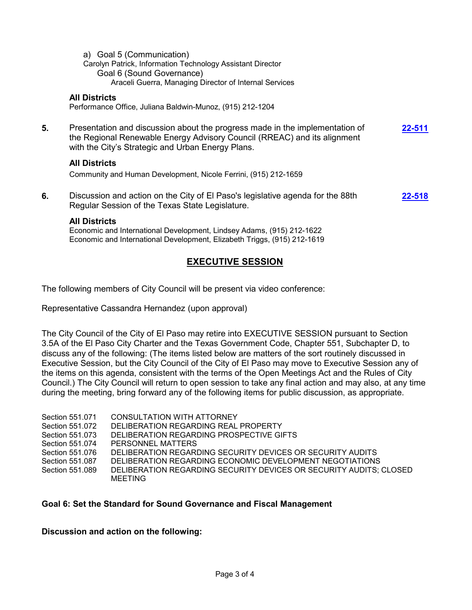a) Goal 5 (Communication) Carolyn Patrick, Information Technology Assistant Director Goal 6 (Sound Governance) Araceli Guerra, Managing Director of Internal Services

#### **All Districts**

Performance Office, Juliana Baldwin-Munoz, (915) 212-1204

**5.** Presentation and discussion about the progress made in the implementation of the Regional Renewable Energy Advisory Council (RREAC) and its alignment with the City's Strategic and Urban Energy Plans. **[22-511](http://elpasotexas.legistar.com/gateway.aspx?m=l&id=/matter.aspx?key=6975)**

#### **All Districts**

Community and Human Development, Nicole Ferrini, (915) 212-1659

**6.** Discussion and action on the City of El Paso's legislative agenda for the 88th Regular Session of the Texas State Legislature. **[22-518](http://elpasotexas.legistar.com/gateway.aspx?m=l&id=/matter.aspx?key=6982)**

#### **All Districts**

Economic and International Development, Lindsey Adams, (915) 212-1622 Economic and International Development, Elizabeth Triggs, (915) 212-1619

### **EXECUTIVE SESSION**

The following members of City Council will be present via video conference:

Representative Cassandra Hernandez (upon approval)

The City Council of the City of El Paso may retire into EXECUTIVE SESSION pursuant to Section 3.5A of the El Paso City Charter and the Texas Government Code, Chapter 551, Subchapter D, to discuss any of the following: (The items listed below are matters of the sort routinely discussed in Executive Session, but the City Council of the City of El Paso may move to Executive Session any of the items on this agenda, consistent with the terms of the Open Meetings Act and the Rules of City Council.) The City Council will return to open session to take any final action and may also, at any time during the meeting, bring forward any of the following items for public discussion, as appropriate.

| Section 551.071<br>Section 551.072<br>Section 551.073 | CONSULTATION WITH ATTORNEY<br>DELIBERATION REGARDING REAL PROPERTY<br>DELIBERATION REGARDING PROSPECTIVE GIFTS |
|-------------------------------------------------------|----------------------------------------------------------------------------------------------------------------|
| Section 551.074                                       | PERSONNEL MATTERS                                                                                              |
| Section 551.076                                       | DELIBERATION REGARDING SECURITY DEVICES OR SECURITY AUDITS                                                     |
| Section 551.087                                       | DELIBERATION REGARDING ECONOMIC DEVELOPMENT NEGOTIATIONS                                                       |
| Section 551.089                                       | DELIBERATION REGARDING SECURITY DEVICES OR SECURITY AUDITS; CLOSED<br><b>MEETING</b>                           |

#### **Goal 6: Set the Standard for Sound Governance and Fiscal Management**

**Discussion and action on the following:**